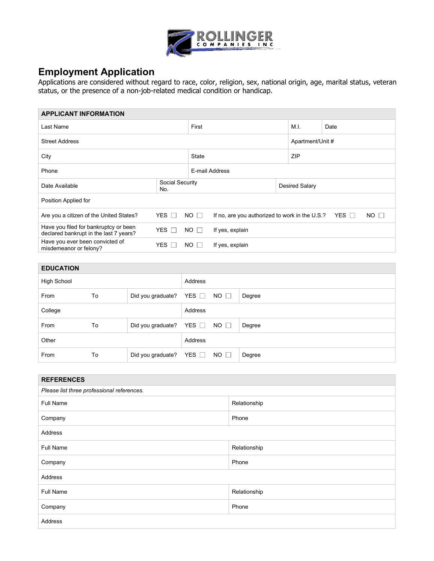

## **Employment Application**

Applications are considered without regard to race, color, religion, sex, national origin, age, marital status, veteran status, or the presence of a non-job-related medical condition or handicap.

| <b>APPLICANT INFORMATION</b>                                                    |                            |                  |                                                |  |                       |              |           |  |
|---------------------------------------------------------------------------------|----------------------------|------------------|------------------------------------------------|--|-----------------------|--------------|-----------|--|
| Last Name                                                                       |                            |                  | First                                          |  |                       | Date         |           |  |
| <b>Street Address</b>                                                           |                            | Apartment/Unit # |                                                |  |                       |              |           |  |
| City                                                                            |                            |                  | <b>State</b>                                   |  |                       | <b>ZIP</b>   |           |  |
| Phone                                                                           |                            |                  | E-mail Address                                 |  |                       |              |           |  |
| Date Available                                                                  | No.                        | Social Security  |                                                |  | <b>Desired Salary</b> |              |           |  |
| Position Applied for                                                            |                            |                  |                                                |  |                       |              |           |  |
| Are you a citizen of the United States?                                         | YES $\Box$                 | $NO$ $\Box$      | If no, are you authorized to work in the U.S.? |  |                       | YES <b>I</b> | $NO \Box$ |  |
| Have you filed for bankruptcy or been<br>declared bankrupt in the last 7 years? | <b>YES</b><br>$\mathbb{R}$ | If yes, explain  |                                                |  |                       |              |           |  |
| Have you ever been convicted of<br>misdemeanor or felony?                       | <b>YES</b>                 | $NO \Box$        | If yes, explain                                |  |                       |              |           |  |
|                                                                                 |                            | $NO$ $\Box$      |                                                |  |                       |              |           |  |

| <b>EDUCATION</b>   |    |                         |            |             |        |
|--------------------|----|-------------------------|------------|-------------|--------|
| <b>High School</b> |    |                         | Address    |             |        |
| From               | To | Did you graduate?       | YES $\Box$ | $NO \Box$   | Degree |
| College            |    |                         | Address    |             |        |
| From               | To | Did you graduate? YES □ |            | $NO$ $\Box$ | Degree |
| Other              |    |                         | Address    |             |        |
| From               | To | Did you graduate? YES □ |            | $NO$ $\Box$ | Degree |

| <b>REFERENCES</b>                          |              |  |  |  |
|--------------------------------------------|--------------|--|--|--|
| Please list three professional references. |              |  |  |  |
| <b>Full Name</b>                           | Relationship |  |  |  |
| Company                                    | Phone        |  |  |  |
| Address                                    |              |  |  |  |
| Full Name                                  | Relationship |  |  |  |
| Company                                    | Phone        |  |  |  |
| Address                                    |              |  |  |  |
| Full Name                                  | Relationship |  |  |  |
| Company                                    | Phone        |  |  |  |
| Address                                    |              |  |  |  |